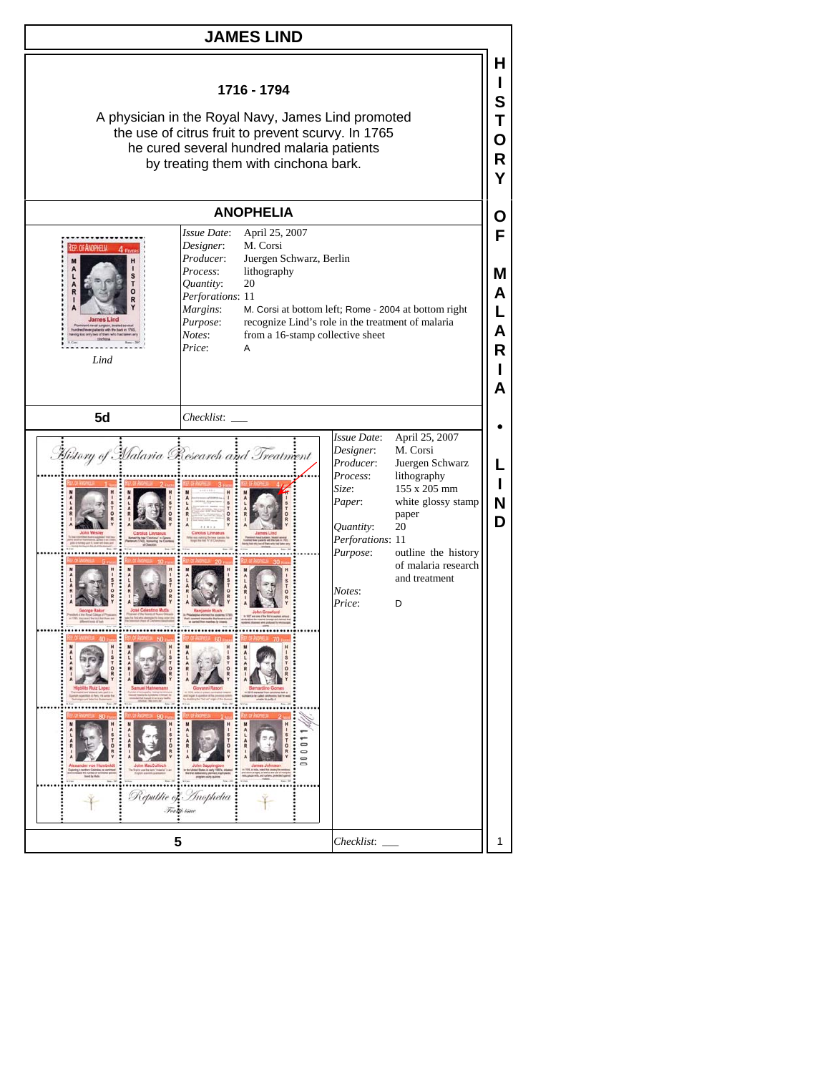